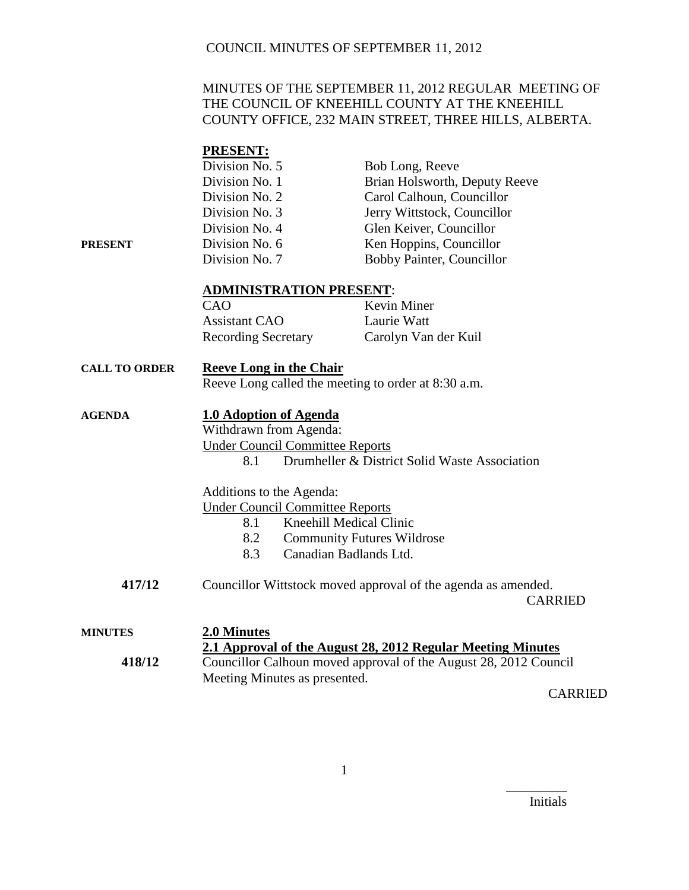### COUNCIL MINUTES OF SEPTEMBER 11, 2012

### MINUTES OF THE SEPTEMBER 11, 2012 REGULAR MEETING OF THE COUNCIL OF KNEEHILL COUNTY AT THE KNEEHILL COUNTY OFFICE, 232 MAIN STREET, THREE HILLS, ALBERTA.

### **PRESENT:**

|         | Division No. 5 | Bob Long, Reeve               |
|---------|----------------|-------------------------------|
|         | Division No. 1 | Brian Holsworth, Deputy Reeve |
|         | Division No. 2 | Carol Calhoun, Councillor     |
|         | Division No. 3 | Jerry Wittstock, Councillor   |
|         | Division No. 4 | Glen Keiver, Councillor       |
| PRESENT | Division No. 6 | Ken Hoppins, Councillor       |
|         | Division No. 7 | Bobby Painter, Councillor     |

#### **ADMINISTRATION PRESENT**:

| CAO                        | <b>Kevin Miner</b>   |
|----------------------------|----------------------|
| <b>Assistant CAO</b>       | Laurie Watt          |
| <b>Recording Secretary</b> | Carolyn Van der Kuil |

## **CALL TO ORDER Reeve Long in the Chair**

Reeve Long called the meeting to order at 8:30 a.m.

### **AGENDA 1.0 Adoption of Agenda**

Withdrawn from Agenda: Under Council Committee Reports 8.1 Drumheller & District Solid Waste Association

Additions to the Agenda:

Under Council Committee Reports

- 8.1 Kneehill Medical Clinic
- 8.2 Community Futures Wildrose
- 8.3 Canadian Badlands Ltd.
- **417/12** Councillor Wittstock moved approval of the agenda as amended.

CARRIED

| <b>MINUTES</b> | 2.0 Minutes                                                      |
|----------------|------------------------------------------------------------------|
|                | 2.1 Approval of the August 28, 2012 Regular Meeting Minutes      |
| 418/12         | Councillor Calhoun moved approval of the August 28, 2012 Council |
|                | Meeting Minutes as presented.                                    |
|                | $\bigcap$ A D D H                                                |

CARRIED

Initials

\_\_\_\_\_\_\_\_\_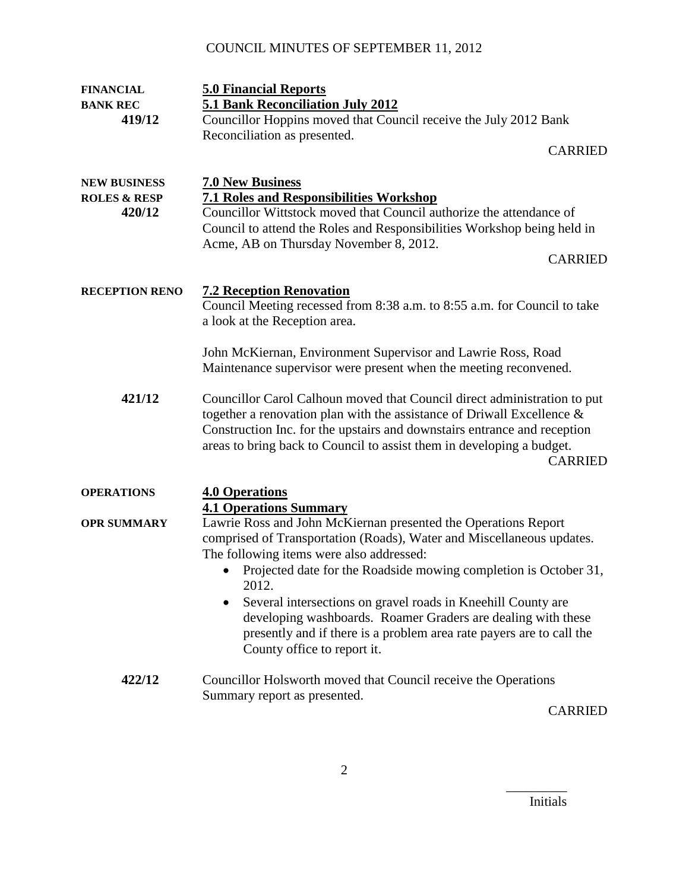# COUNCIL MINUTES OF SEPTEMBER 11, 2012

| <b>FINANCIAL</b>        | <b>5.0 Financial Reports</b>                                                                                                                                                                                                                                                                                                 |
|-------------------------|------------------------------------------------------------------------------------------------------------------------------------------------------------------------------------------------------------------------------------------------------------------------------------------------------------------------------|
| <b>BANK REC</b>         | 5.1 Bank Reconciliation July 2012                                                                                                                                                                                                                                                                                            |
| 419/12                  | Councillor Hoppins moved that Council receive the July 2012 Bank                                                                                                                                                                                                                                                             |
|                         | Reconciliation as presented.                                                                                                                                                                                                                                                                                                 |
|                         | <b>CARRIED</b>                                                                                                                                                                                                                                                                                                               |
| <b>NEW BUSINESS</b>     | <b>7.0 New Business</b>                                                                                                                                                                                                                                                                                                      |
| <b>ROLES &amp; RESP</b> | <b>7.1 Roles and Responsibilities Workshop</b>                                                                                                                                                                                                                                                                               |
| 420/12                  | Councillor Wittstock moved that Council authorize the attendance of                                                                                                                                                                                                                                                          |
|                         | Council to attend the Roles and Responsibilities Workshop being held in                                                                                                                                                                                                                                                      |
|                         | Acme, AB on Thursday November 8, 2012.                                                                                                                                                                                                                                                                                       |
|                         | <b>CARRIED</b>                                                                                                                                                                                                                                                                                                               |
| <b>RECEPTION RENO</b>   | <b>7.2 Reception Renovation</b>                                                                                                                                                                                                                                                                                              |
|                         | Council Meeting recessed from 8:38 a.m. to 8:55 a.m. for Council to take                                                                                                                                                                                                                                                     |
|                         | a look at the Reception area.                                                                                                                                                                                                                                                                                                |
|                         | John McKiernan, Environment Supervisor and Lawrie Ross, Road                                                                                                                                                                                                                                                                 |
|                         | Maintenance supervisor were present when the meeting reconvened.                                                                                                                                                                                                                                                             |
| 421/12                  | Councillor Carol Calhoun moved that Council direct administration to put<br>together a renovation plan with the assistance of Driwall Excellence $\&$<br>Construction Inc. for the upstairs and downstairs entrance and reception<br>areas to bring back to Council to assist them in developing a budget.<br><b>CARRIED</b> |
| <b>OPERATIONS</b>       | <b>4.0 Operations</b>                                                                                                                                                                                                                                                                                                        |
|                         | <b>4.1 Operations Summary</b>                                                                                                                                                                                                                                                                                                |
| <b>OPR SUMMARY</b>      | Lawrie Ross and John McKiernan presented the Operations Report                                                                                                                                                                                                                                                               |
|                         | comprised of Transportation (Roads), Water and Miscellaneous updates.                                                                                                                                                                                                                                                        |
|                         | The following items were also addressed:                                                                                                                                                                                                                                                                                     |
|                         | Projected date for the Roadside mowing completion is October 31,<br>2012                                                                                                                                                                                                                                                     |
|                         | Several intersections on gravel roads in Kneehill County are                                                                                                                                                                                                                                                                 |
|                         | developing washboards. Roamer Graders are dealing with these                                                                                                                                                                                                                                                                 |
|                         | presently and if there is a problem area rate payers are to call the<br>County office to report it.                                                                                                                                                                                                                          |
| 422/12                  | Councillor Holsworth moved that Council receive the Operations                                                                                                                                                                                                                                                               |
|                         | Summary report as presented.                                                                                                                                                                                                                                                                                                 |
|                         | $C$ annon                                                                                                                                                                                                                                                                                                                    |

CARRIED

Initials

\_\_\_\_\_\_\_\_\_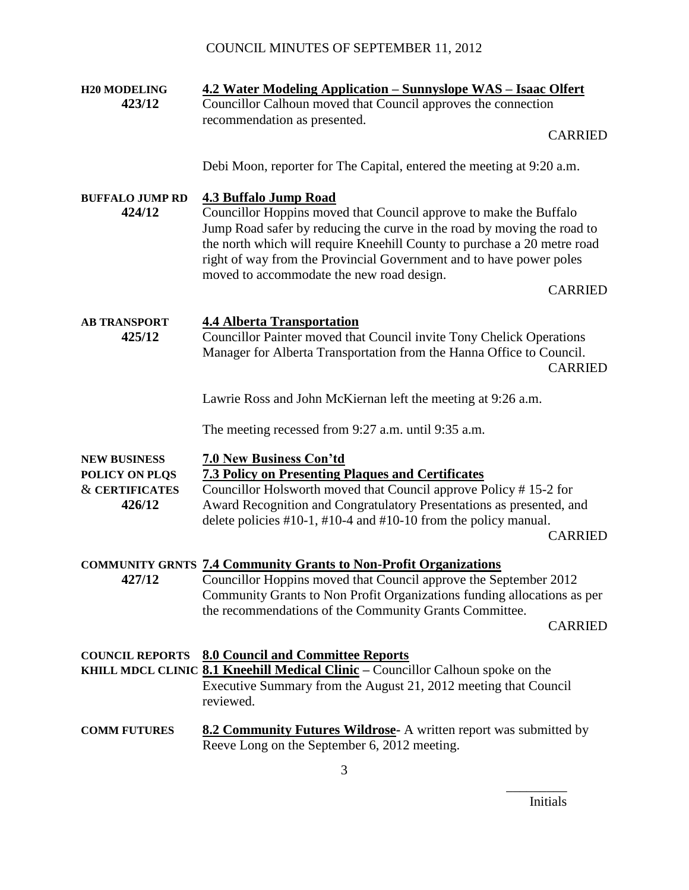| <b>H20 MODELING</b>                                                          | 4.2 Water Modeling Application - Sunnyslope WAS - Isaac Olfert                                                                                                                                                                                                                                                                                                                                 |  |
|------------------------------------------------------------------------------|------------------------------------------------------------------------------------------------------------------------------------------------------------------------------------------------------------------------------------------------------------------------------------------------------------------------------------------------------------------------------------------------|--|
| 423/12                                                                       | Councillor Calhoun moved that Council approves the connection                                                                                                                                                                                                                                                                                                                                  |  |
|                                                                              | recommendation as presented.                                                                                                                                                                                                                                                                                                                                                                   |  |
|                                                                              | <b>CARRIED</b>                                                                                                                                                                                                                                                                                                                                                                                 |  |
|                                                                              | Debi Moon, reporter for The Capital, entered the meeting at 9:20 a.m.                                                                                                                                                                                                                                                                                                                          |  |
| <b>BUFFALO JUMP RD</b><br>424/12                                             | <b>4.3 Buffalo Jump Road</b><br>Councillor Hoppins moved that Council approve to make the Buffalo<br>Jump Road safer by reducing the curve in the road by moving the road to<br>the north which will require Kneehill County to purchase a 20 metre road<br>right of way from the Provincial Government and to have power poles<br>moved to accommodate the new road design.<br><b>CARRIED</b> |  |
| <b>AB TRANSPORT</b><br>425/12                                                | <b>4.4 Alberta Transportation</b><br>Councillor Painter moved that Council invite Tony Chelick Operations<br>Manager for Alberta Transportation from the Hanna Office to Council.<br><b>CARRIED</b>                                                                                                                                                                                            |  |
|                                                                              | Lawrie Ross and John McKiernan left the meeting at 9:26 a.m.                                                                                                                                                                                                                                                                                                                                   |  |
|                                                                              | The meeting recessed from 9:27 a.m. until 9:35 a.m.                                                                                                                                                                                                                                                                                                                                            |  |
| <b>NEW BUSINESS</b><br>POLICY ON PLQS<br><b>&amp; CERTIFICATES</b><br>426/12 | <b>7.0 New Business Con'td</b><br><b>7.3 Policy on Presenting Plaques and Certificates</b><br>Councillor Holsworth moved that Council approve Policy #15-2 for<br>Award Recognition and Congratulatory Presentations as presented, and<br>delete policies $\#10-1$ , $\#10-4$ and $\#10-10$ from the policy manual.<br><b>CARRIED</b>                                                          |  |
| 427/12                                                                       | <b>COMMUNITY GRNTS 7.4 Community Grants to Non-Profit Organizations</b><br>Councillor Hoppins moved that Council approve the September 2012<br>Community Grants to Non Profit Organizations funding allocations as per<br>the recommendations of the Community Grants Committee.<br><b>CARRIED</b>                                                                                             |  |
| <b>COUNCIL REPORTS</b>                                                       | <b>8.0 Council and Committee Reports</b><br>KHILL MDCL CLINIC 8.1 Kneehill Medical Clinic - Councillor Calhoun spoke on the<br>Executive Summary from the August 21, 2012 meeting that Council<br>reviewed.                                                                                                                                                                                    |  |
| <b>COMM FUTURES</b>                                                          | <b>8.2 Community Futures Wildrose-</b> A written report was submitted by<br>Reeve Long on the September 6, 2012 meeting.                                                                                                                                                                                                                                                                       |  |

\_\_\_\_\_\_\_\_\_